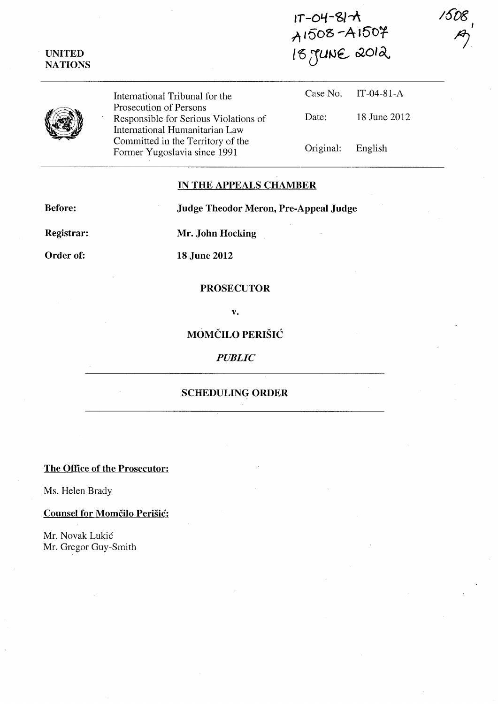# **UNITED NATIONS**

**IT -0'-/-<61-1\**  A1508-A1507 I **tQ (JUtJ€..- r>2,OI dv** 



International Tribunal for the Prosecution of Persons Responsible for Serious Violations of International Humanitarian Law Committed in the Territory of the Former Yugoslavia since 1991

|                   | Case No. $IT-04-81-A$ |
|-------------------|-----------------------|
| Date:             | 18 June 2012          |
| Original: English |                       |

# **IN THE APPEALS CHAMBER**

**Before: Judge Theodor Meron, Pre-Appeal Judge** 

**Registrar: Mr. John Hocking** 

**Order of: 18 June 2012** 

#### **PROSECUTOR**

**v.** 

**MOMČILO PERIŠIĆ** 

*PUBLIC* 

## **SCHEDULING ORDER**

**The Office of the Prosecutor:** 

Ms. Helen Brady

**Counsel for Momčilo Perišić:** 

Mr. Novak Lukic Mr. Gregor Guy-Smith